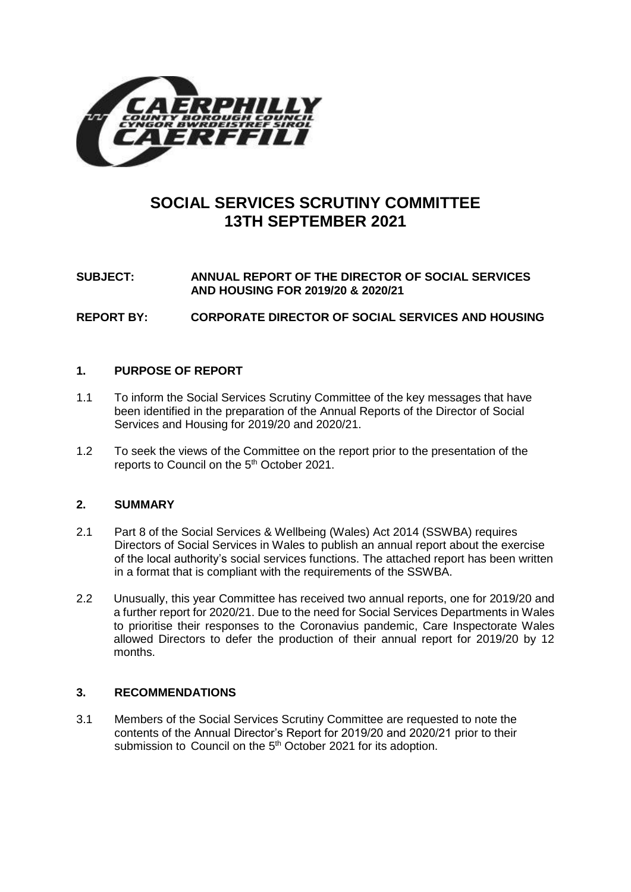

# **SOCIAL SERVICES SCRUTINY COMMITTEE 13TH SEPTEMBER 2021**

# **SUBJECT: ANNUAL REPORT OF THE DIRECTOR OF SOCIAL SERVICES AND HOUSING FOR 2019/20 & 2020/21**

**REPORT BY: CORPORATE DIRECTOR OF SOCIAL SERVICES AND HOUSING** 

## **1. PURPOSE OF REPORT**

- 1.1 To inform the Social Services Scrutiny Committee of the key messages that have been identified in the preparation of the Annual Reports of the Director of Social Services and Housing for 2019/20 and 2020/21.
- 1.2 To seek the views of the Committee on the report prior to the presentation of the reports to Council on the 5<sup>th</sup> October 2021.

## **2. SUMMARY**

- 2.1 Part 8 of the Social Services & Wellbeing (Wales) Act 2014 (SSWBA) requires Directors of Social Services in Wales to publish an annual report about the exercise of the local authority's social services functions. The attached report has been written in a format that is compliant with the requirements of the SSWBA.
- 2.2 Unusually, this year Committee has received two annual reports, one for 2019/20 and a further report for 2020/21. Due to the need for Social Services Departments in Wales to prioritise their responses to the Coronavius pandemic, Care Inspectorate Wales allowed Directors to defer the production of their annual report for 2019/20 by 12 months.

## **3. RECOMMENDATIONS**

3.1 Members of the Social Services Scrutiny Committee are requested to note the contents of the Annual Director's Report for 2019/20 and 2020/21 prior to their submission to Council on the 5<sup>th</sup> October 2021 for its adoption.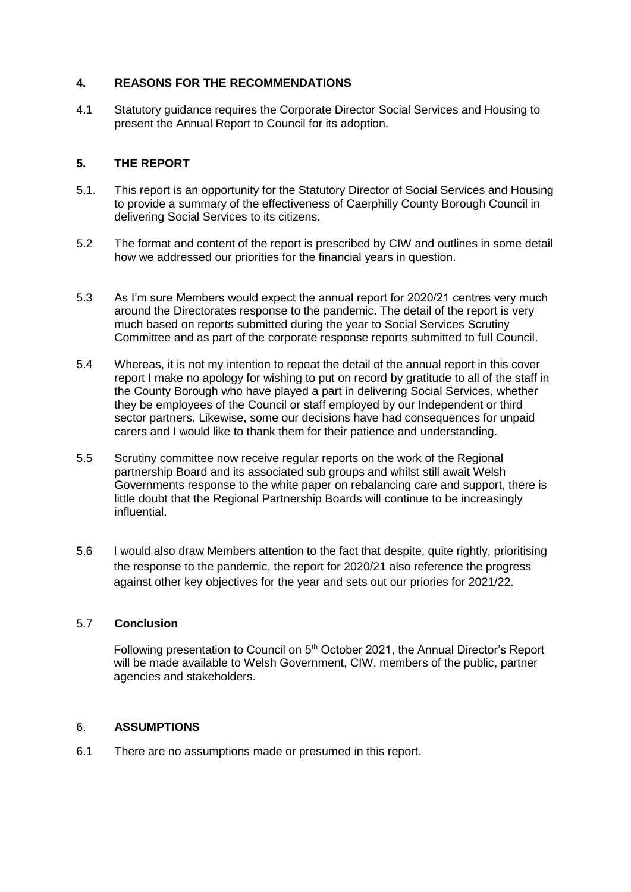## **4. REASONS FOR THE RECOMMENDATIONS**

4.1 Statutory guidance requires the Corporate Director Social Services and Housing to present the Annual Report to Council for its adoption.

### **5. THE REPORT**

- 5.1. This report is an opportunity for the Statutory Director of Social Services and Housing to provide a summary of the effectiveness of Caerphilly County Borough Council in delivering Social Services to its citizens.
- 5.2 The format and content of the report is prescribed by CIW and outlines in some detail how we addressed our priorities for the financial years in question.
- 5.3 As I'm sure Members would expect the annual report for 2020/21 centres very much around the Directorates response to the pandemic. The detail of the report is very much based on reports submitted during the year to Social Services Scrutiny Committee and as part of the corporate response reports submitted to full Council.
- 5.4 Whereas, it is not my intention to repeat the detail of the annual report in this cover report I make no apology for wishing to put on record by gratitude to all of the staff in the County Borough who have played a part in delivering Social Services, whether they be employees of the Council or staff employed by our Independent or third sector partners. Likewise, some our decisions have had consequences for unpaid carers and I would like to thank them for their patience and understanding.
- 5.5 Scrutiny committee now receive regular reports on the work of the Regional partnership Board and its associated sub groups and whilst still await Welsh Governments response to the white paper on rebalancing care and support, there is little doubt that the Regional Partnership Boards will continue to be increasingly influential.
- 5.6 I would also draw Members attention to the fact that despite, quite rightly, prioritising the response to the pandemic, the report for 2020/21 also reference the progress against other key objectives for the year and sets out our priories for 2021/22.

#### 5.7 **Conclusion**

Following presentation to Council on 5<sup>th</sup> October 2021, the Annual Director's Report will be made available to Welsh Government, CIW, members of the public, partner agencies and stakeholders.

#### 6. **ASSUMPTIONS**

6.1 There are no assumptions made or presumed in this report.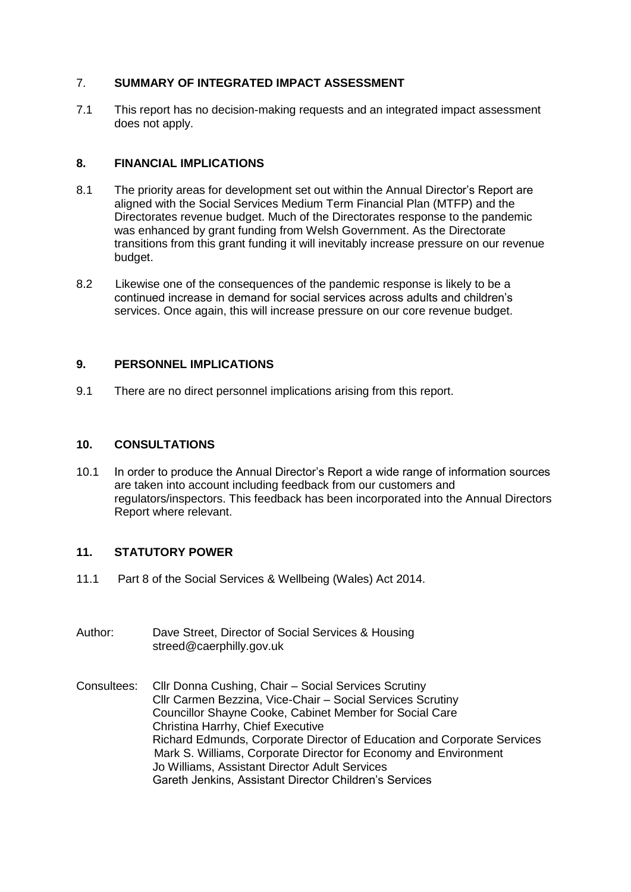## 7. **SUMMARY OF INTEGRATED IMPACT ASSESSMENT**

7.1 This report has no decision-making requests and an integrated impact assessment does not apply.

## **8. FINANCIAL IMPLICATIONS**

- 8.1 The priority areas for development set out within the Annual Director's Report are aligned with the Social Services Medium Term Financial Plan (MTFP) and the Directorates revenue budget. Much of the Directorates response to the pandemic was enhanced by grant funding from Welsh Government. As the Directorate transitions from this grant funding it will inevitably increase pressure on our revenue budget.
- 8.2 Likewise one of the consequences of the pandemic response is likely to be a continued increase in demand for social services across adults and children's services. Once again, this will increase pressure on our core revenue budget.

## **9. PERSONNEL IMPLICATIONS**

9.1 There are no direct personnel implications arising from this report.

### **10. CONSULTATIONS**

10.1 In order to produce the Annual Director's Report a wide range of information sources are taken into account including feedback from our customers and regulators/inspectors. This feedback has been incorporated into the Annual Directors Report where relevant.

## **11. STATUTORY POWER**

- 11.1 Part 8 of the Social Services & Wellbeing (Wales) Act 2014.
- Author: Dave Street, Director of Social Services & Housing [streed@caerphilly.gov.uk](mailto:streed@caerphilly.gov.uk)
- Consultees: Cllr Donna Cushing, Chair Social Services Scrutiny Cllr Carmen Bezzina, Vice-Chair – Social Services Scrutiny Councillor Shayne Cooke, Cabinet Member for Social Care Christina Harrhy, Chief Executive Richard Edmunds, Corporate Director of Education and Corporate Services Mark S. Williams, Corporate Director for Economy and Environment Jo Williams, Assistant Director Adult Services Gareth Jenkins, Assistant Director Children's Services